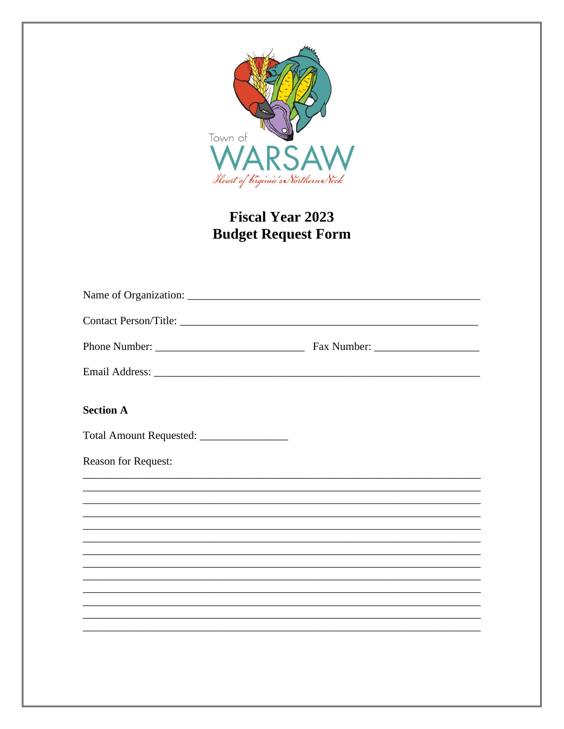

# **Fiscal Year 2023 Budget Request Form**

| <b>Section A</b>                                                                  |  |
|-----------------------------------------------------------------------------------|--|
|                                                                                   |  |
| <b>Reason for Request:</b>                                                        |  |
|                                                                                   |  |
|                                                                                   |  |
|                                                                                   |  |
|                                                                                   |  |
| ,我们也不能在这里的时候,我们也不能在这里的时候,我们也不能会在这里的时候,我们也不能会在这里的时候,我们也不能会在这里的时候,我们也不能会在这里的时候,我们也不 |  |
|                                                                                   |  |
|                                                                                   |  |
|                                                                                   |  |
|                                                                                   |  |
|                                                                                   |  |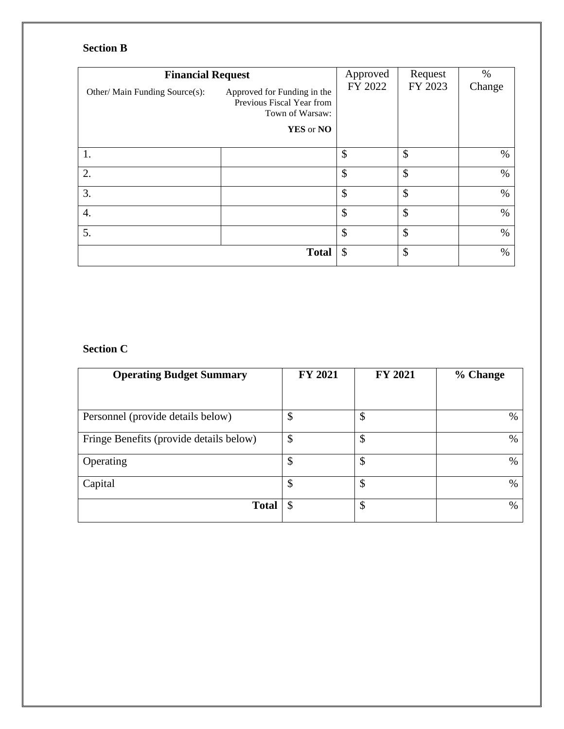## **Section B**

| <b>Financial Request</b>       |                                                                             | Approved | Request | $\%$   |
|--------------------------------|-----------------------------------------------------------------------------|----------|---------|--------|
| Other/ Main Funding Source(s): | Approved for Funding in the<br>Previous Fiscal Year from<br>Town of Warsaw: | FY 2022  | FY 2023 | Change |
|                                | YES or NO                                                                   |          |         |        |
| 1.                             |                                                                             | \$       | \$      | %      |
| 2.                             |                                                                             | \$       | \$      | $\%$   |
| 3.                             |                                                                             | \$       | \$      | $\%$   |
| 4.                             |                                                                             | \$       | \$      | $\%$   |
| 5.                             |                                                                             | \$       | \$      | $\%$   |
|                                | <b>Total</b>                                                                | \$       | \$      | $\%$   |

### **Section C**

| <b>Operating Budget Summary</b>         | <b>FY 2021</b> | <b>FY 2021</b>             | % Change |
|-----------------------------------------|----------------|----------------------------|----------|
|                                         |                |                            |          |
| Personnel (provide details below)       | \$             | $\boldsymbol{\mathsf{\$}}$ | $\%$     |
| Fringe Benefits (provide details below) | \$             | $\boldsymbol{\mathsf{\$}}$ | %        |
| Operating                               | \$             | \$                         | %        |
| Capital                                 | \$             | \$                         | %        |
| <b>Total</b>                            | \$             | \$                         | %        |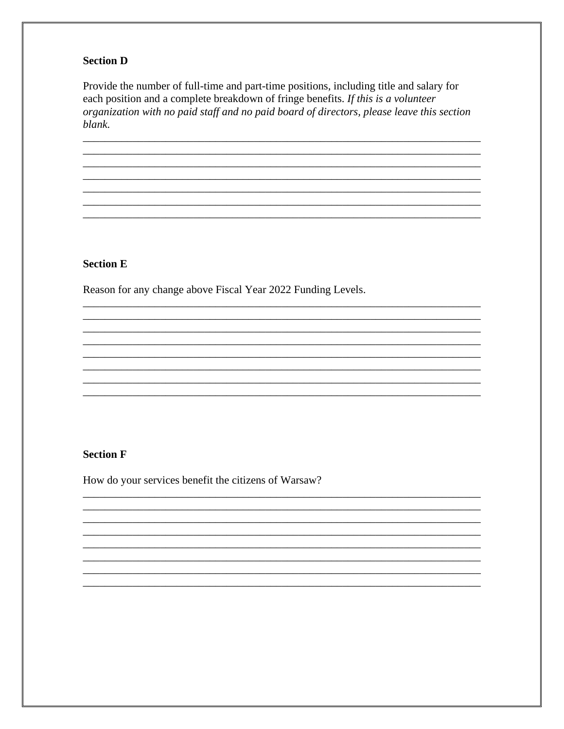#### **Section D**

Provide the number of full-time and part-time positions, including title and salary for each position and a complete breakdown of fringe benefits. If this is a volunteer organization with no paid staff and no paid board of directors, please leave this section blank.

#### **Section E**

Reason for any change above Fiscal Year 2022 Funding Levels.

#### **Section F**

How do your services benefit the citizens of Warsaw?